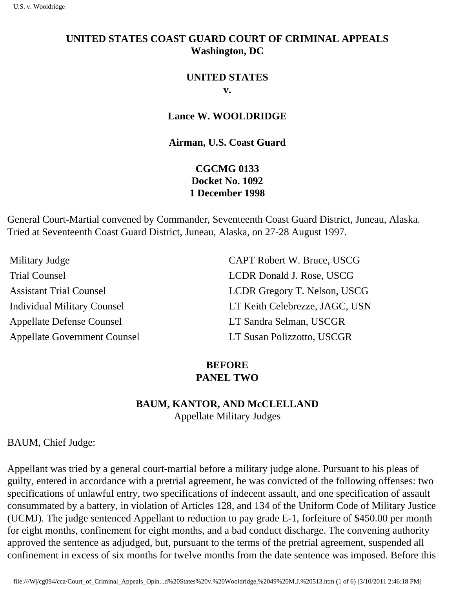# **UNITED STATES COAST GUARD COURT OF CRIMINAL APPEALS Washington, DC**

### **UNITED STATES v.**

### **Lance W. WOOLDRIDGE**

### **Airman, U.S. Coast Guard**

# **CGCMG 0133 Docket No. 1092 1 December 1998**

General Court-Martial convened by Commander, Seventeenth Coast Guard District, Juneau, Alaska. Tried at Seventeenth Coast Guard District, Juneau, Alaska, on 27-28 August 1997.

| CAPT Robert W. Bruce, USCG     |
|--------------------------------|
| LCDR Donald J. Rose, USCG      |
| LCDR Gregory T. Nelson, USCG   |
| LT Keith Celebrezze, JAGC, USN |
| LT Sandra Selman, USCGR        |
| LT Susan Polizzotto, USCGR     |
|                                |

## **BEFORE PANEL TWO**

# **BAUM, KANTOR, AND McCLELLAND**

Appellate Military Judges

BAUM, Chief Judge:

Appellant was tried by a general court-martial before a military judge alone. Pursuant to his pleas of guilty, entered in accordance with a pretrial agreement, he was convicted of the following offenses: two specifications of unlawful entry, two specifications of indecent assault, and one specification of assault consummated by a battery, in violation of Articles 128, and 134 of the Uniform Code of Military Justice (UCMJ). The judge sentenced Appellant to reduction to pay grade E-1, forfeiture of \$450.00 per month for eight months, confinement for eight months, and a bad conduct discharge. The convening authority approved the sentence as adjudged, but, pursuant to the terms of the pretrial agreement, suspended all confinement in excess of six months for twelve months from the date sentence was imposed. Before this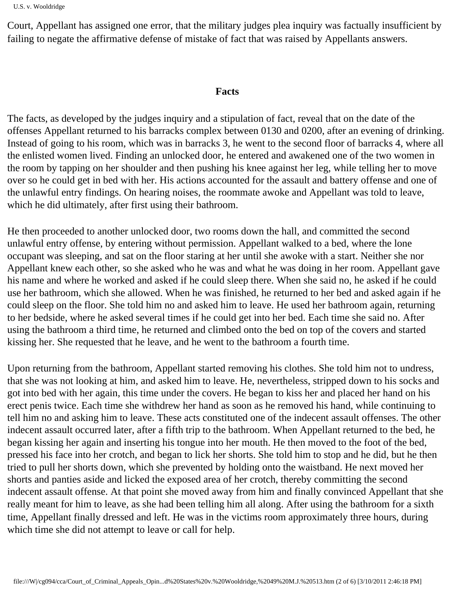```
U.S. v. Wooldridge
```
Court, Appellant has assigned one error, that the military judge s plea inquiry was factually insufficient by failing to negate the affirmative defense of mistake of fact that was raised by Appellant s answers.

### **Facts**

The facts, as developed by the judge s inquiry and a stipulation of fact, reveal that on the date of the offenses Appellant returned to his barracks complex between 0130 and 0200, after an evening of drinking. Instead of going to his room, which was in barracks 3, he went to the second floor of barracks 4, where all the enlisted women lived. Finding an unlocked door, he entered and awakened one of the two women in the room by tapping on her shoulder and then pushing his knee against her leg, while telling her to move over so he could get in bed with her. His actions accounted for the assault and battery offense and one of the unlawful entry findings. On hearing noises, the roommate awoke and Appellant was told to leave, which he did ultimately, after first using their bathroom.

He then proceeded to another unlocked door, two rooms down the hall, and committed the second unlawful entry offense, by entering without permission. Appellant walked to a bed, where the lone occupant was sleeping, and sat on the floor staring at her until she awoke with a start. Neither she nor Appellant knew each other, so she asked who he was and what he was doing in her room. Appellant gave his name and where he worked and asked if he could sleep there. When she said no, he asked if he could use her bathroom, which she allowed. When he was finished, he returned to her bed and asked again if he could sleep on the floor. She told him no and asked him to leave. He used her bathroom again, returning to her bedside, where he asked several times if he could get into her bed. Each time she said no. After using the bathroom a third time, he returned and climbed onto the bed on top of the covers and started kissing her. She requested that he leave, and he went to the bathroom a fourth time.

Upon returning from the bathroom, Appellant started removing his clothes. She told him not to undress, that she was not looking at him, and asked him to leave. He, nevertheless, stripped down to his socks and got into bed with her again, this time under the covers. He began to kiss her and placed her hand on his erect penis twice. Each time she withdrew her hand as soon as he removed his hand, while continuing to tell him no and asking him to leave. These acts constituted one of the indecent assault offenses. The other indecent assault occurred later, after a fifth trip to the bathroom. When Appellant returned to the bed, he began kissing her again and inserting his tongue into her mouth. He then moved to the foot of the bed, pressed his face into her crotch, and began to lick her shorts. She told him to stop and he did, but he then tried to pull her shorts down, which she prevented by holding onto the waistband. He next moved her shorts and panties aside and licked the exposed area of her crotch, thereby committing the second indecent assault offense. At that point she moved away from him and finally convinced Appellant that she really meant for him to leave, as she had been telling him all along. After using the bathroom for a sixth time, Appellant finally dressed and left. He was in the victim s room approximately three hours, during which time she did not attempt to leave or call for help.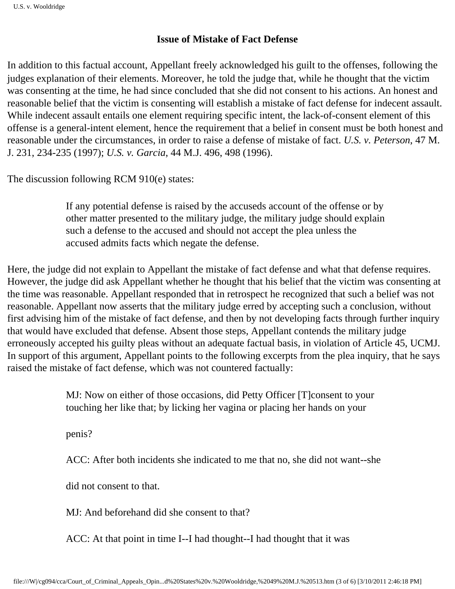### **Issue of Mistake of Fact Defense**

In addition to this factual account, Appellant freely acknowledged his guilt to the offenses, following the judge s explanation of their elements. Moreover, he told the judge that, while he thought that the victim was consenting at the time, he had since concluded that she did not consent to his actions. An honest and reasonable belief that the victim is consenting will establish a mistake of fact defense for indecent assault. While indecent assault entails one element requiring specific intent, the lack-of-consent element of this offense is a general-intent element, hence the requirement that a belief in consent must be both honest and reasonable under the circumstances, in order to raise a defense of mistake of fact. *U.S. v. Peterson*, 47 M. J. 231, 234-235 (1997); *U.S. v. Garcia*, 44 M.J. 496, 498 (1996).

The discussion following RCM 910(e) states:

If any potential defense is raised by the accused s account of the offense or by other matter presented to the military judge, the military judge should explain such a defense to the accused and should not accept the plea unless the accused admits facts which negate the defense.

Here, the judge did not explain to Appellant the mistake of fact defense and what that defense requires. However, the judge did ask Appellant whether he thought that his belief that the victim was consenting at the time was reasonable. Appellant responded that in retrospect he recognized that such a belief was not reasonable. Appellant now asserts that the military judge erred by accepting such a conclusion, without first advising him of the mistake of fact defense, and then by not developing facts through further inquiry that would have excluded that defense. Absent those steps, Appellant contends the military judge erroneously accepted his guilty pleas without an adequate factual basis, in violation of Article 45, UCMJ. In support of this argument, Appellant points to the following excerpts from the plea inquiry, that he says raised the mistake of fact defense, which was not countered factually:

> MJ: Now on either of those occasions, did Petty Officer [T] consent to your touching her like that; by licking her vagina or placing her hands on your

penis?

ACC: After both incidents she indicated to me that no, she did not want--she

did not consent to that.

MJ: And beforehand did she consent to that?

ACC: At that point in time I--I had thought--I had thought that it was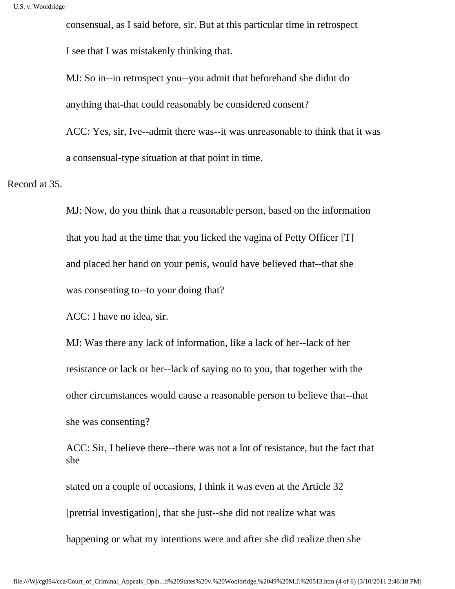consensual, as I said before, sir. But at this particular time in retrospect

I see that I was mistakenly thinking that.

MJ: So in--in retrospect you--you admit that beforehand she didn t do anything that-that could reasonably be considered consent?

ACC: Yes, sir, I ve--admit there was--it was unreasonable to think that it was a consensual-type situation at that point in time.

Record at 35.

MJ: Now, do you think that a reasonable person, based on the information that you had at the time that you licked the vagina of Petty Officer  $[T]$ and placed her hand on your penis, would have believed that--that she was consenting to--to your doing that?

ACC: I have no idea, sir.

MJ: Was there any lack of information, like a lack of her--lack of her resistance or lack or her--lack of saying no to you, that together with the other circumstances would cause a reasonable person to believe that--that she was consenting?

ACC: Sir, I believe there--there was not a lot of resistance, but the fact that she

stated on a couple of occasions, I think it was even at the Article 32 [pretrial investigation], that she just--she did not realize what was happening or what my intentions were and after she did realize then she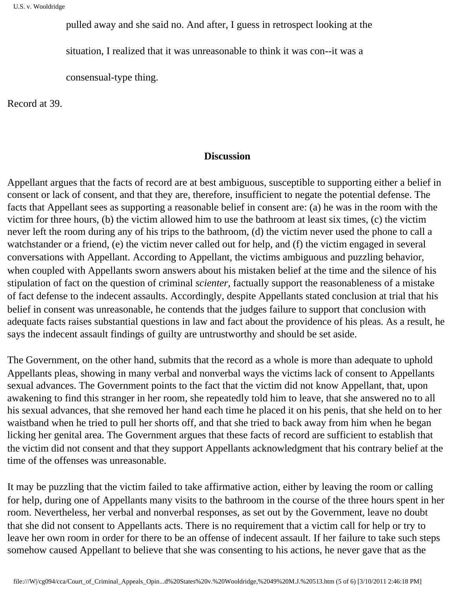pulled away and she said no. And after, I guess in retrospect looking at the

situation, I realized that it was unreasonable to think it was con--it was a

consensual-type thing.

Record at 39.

#### **Discussion**

Appellant argues that the facts of record are at best ambiguous, susceptible to supporting either a belief in consent or lack of consent, and that they are, therefore, insufficient to negate the potential defense. The facts that Appellant sees as supporting a reasonable belief in consent are: (a) he was in the room with the victim for three hours, (b) the victim allowed him to use the bathroom at least six times, (c) the victim never left the room during any of his trips to the bathroom, (d) the victim never used the phone to call a watchstander or a friend, (e) the victim never called out for help, and (f) the victim engaged in several conversations with Appellant. According to Appellant, the victim s ambiguous and puzzling behavior, when coupled with Appellant s sworn answers about his mistaken belief at the time and the silence of his stipulation of fact on the question of criminal *scienter*, factually support the reasonableness of a mistake of fact defense to the indecent assaults. Accordingly, despite Appellant s stated conclusion at trial that his belief in consent was unreasonable, he contends that the judge s failure to support that conclusion with adequate facts raises substantial questions in law and fact about the providence of his pleas. As a result, he says the indecent assault findings of guilty are untrustworthy and should be set aside.

The Government, on the other hand, submits that the record as a whole is more than adequate to uphold Appellant s pleas, showing in many verbal and nonverbal ways the victim s lack of consent to Appellant s sexual advances. The Government points to the fact that the victim did not know Appellant, that, upon awakening to find this stranger in her room, she repeatedly told him to leave, that she answered no to all his sexual advances, that she removed her hand each time he placed it on his penis, that she held on to her waistband when he tried to pull her shorts off, and that she tried to back away from him when he began licking her genital area. The Government argues that these facts of record are sufficient to establish that the victim did not consent and that they support Appellant s acknowledgment that his contrary belief at the time of the offenses was unreasonable.

It may be puzzling that the victim failed to take affirmative action, either by leaving the room or calling for help, during one of Appellant s many visits to the bathroom in the course of the three hours spent in her room. Nevertheless, her verbal and nonverbal responses, as set out by the Government, leave no doubt that she did not consent to Appellant s acts. There is no requirement that a victim call for help or try to leave her own room in order for there to be an offense of indecent assault. If her failure to take such steps somehow caused Appellant to believe that she was consenting to his actions, he never gave that as the